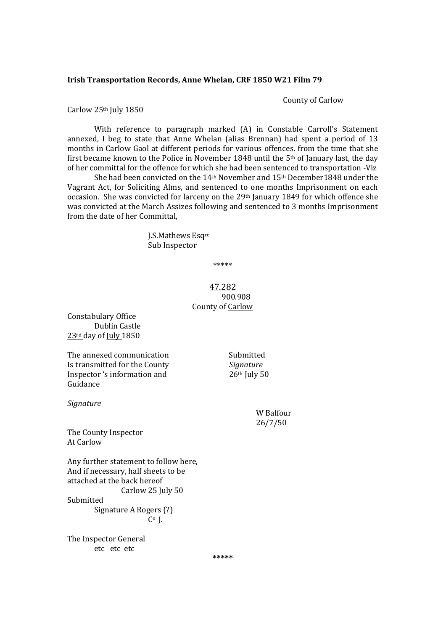### **Irish Transportation Records, Anne Whelan, CRF 1850 W21 Film 79**

County of Carlow

Carlow 25<sup>th</sup> July 1850

With reference to paragraph marked (A) in Constable Carroll's Statement annexed, I beg to state that Anne Whelan (alias Brennan) had spent a period of 13 months in Carlow Gaol at different periods for various offences. from the time that she first became known to the Police in November 1848 until the  $5<sup>th</sup>$  of January last, the day of her committal for the offence for which she had been sentenced to transportation -Viz

She had been convicted on the  $14<sup>th</sup>$  November and  $15<sup>th</sup>$  December 1848 under the Vagrant Act, for Soliciting Alms, and sentenced to one months Imprisonment on each occasion. She was convicted for larceny on the 29<sup>th</sup> January 1849 for which offence she was convicted at the March Assizes following and sentenced to 3 months Imprisonment from the date of her Committal,

> J.S.Mathews Esqre Sub Inspector

> > \*\*\*\*\*

# 47.282 900.908 County of Carlow

Constabulary Office Dublin Castle  $23$ <sup>rd</sup> day of  $\text{Iuly}_1850$ 

The annexed communication **Submitted** Is transmitted for the County *Signature* Inspector 's information and  $26<sup>th</sup>$  July 50 Guidance 

*Signature*

W Balfour 26/7/50 

The County Inspector **At Carlow** 

Any further statement to follow here, And if necessary, half sheets to be attached at the back hereof Carlow 25 July 50 Submitted Signature A Rogers (?)

 $C^{\circ}$  J.

The Inspector General etc etc etc

**\*\*\*\*\***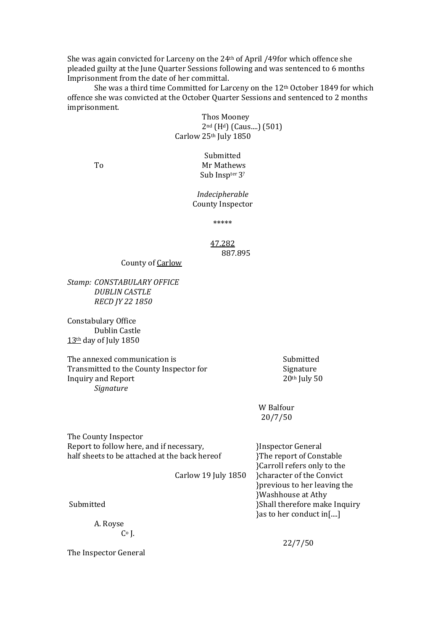She was again convicted for Larceny on the  $24<sup>th</sup>$  of April /49for which offence she pleaded guilty at the June Quarter Sessions following and was sentenced to 6 months Imprisonment from the date of her committal.

She was a third time Committed for Larceny on the  $12<sup>th</sup>$  October 1849 for which offence she was convicted at the October Quarter Sessions and sentenced to 2 months imprisonment. 

> Thos Mooney  $2<sup>nd</sup>$  (H<sup>d</sup>) (Caus....) (501) Carlow  $25<sup>th</sup>$  July  $1850$

Submitted To Mr Mathews Sub Inspter 3?

> *Indecipherable* County Inspector

> > \*\*\*\*\*

## 47.282 887.895

County of Carlow

*Stamp: CONSTABULARY OFFICE DUBLIN CASTLE RECD JY 22 1850*

Constabulary Office Dublin Castle  $13<sup>th</sup>$  day of July 1850

The annexed communication is **Submitted** Submitted Transmitted to the County Inspector for Signature Inquiry and Report 20th July 50 *Signature*

W Balfour 20/7/50 

The County Inspector Report to follow here, and if necessary, <br>
HISPERIC 31 and 18 and 16 and 16 and 16 and 16 and 16 and 16 and 16 and 16 and 16 and 16 and 16 and 16 and 16 and 16 and 16 and 16 and 16 and 16 and 16 and 16 and 16 and 16 and 16 half sheets to be attached at the back hereof <br>
The report of Constable

 }Carroll refers only to the Carlow 19 July 1850 }character of the Convict }previous to her leaving the }Washhouse at Athy Submitted **Bubmitted Bubmitted Bubmitted 1996 CO CO CO BUDGE BUDGE BUDGE CO BUDGE BUDGE BUDGE** }as to her conduct in[....]

A. Royse  $C<sub>0</sub>$  [.

The Inspector General

 22/7/50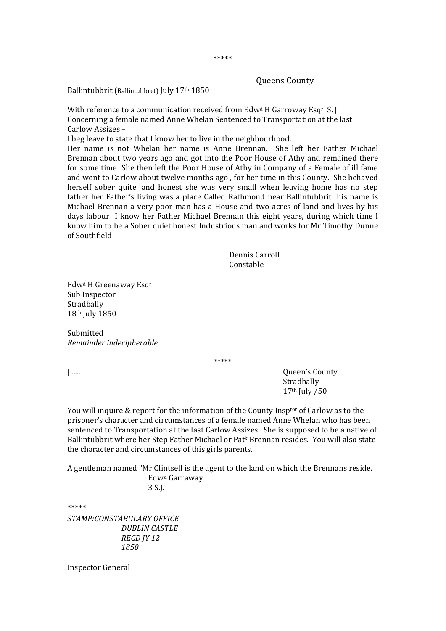### Queens County

Ballintubbrit (Ballintubbret) July 17th 1850

With reference to a communication received from  $Edw<sup>d</sup>$  H Garroway Esq<sup>r</sup> S. J. Concerning a female named Anne Whelan Sentenced to Transportation at the last Carlow Assizes -

I beg leave to state that I know her to live in the neighbourhood.

Her name is not Whelan her name is Anne Brennan. She left her Father Michael Brennan about two years ago and got into the Poor House of Athy and remained there for some time She then left the Poor House of Athy in Company of a Female of ill fame and went to Carlow about twelve months ago, for her time in this County. She behaved herself sober quite. and honest she was very small when leaving home has no step father her Father's living was a place Called Rathmond near Ballintubbrit his name is Michael Brennan a very poor man has a House and two acres of land and lives by his days labour I know her Father Michael Brennan this eight years, during which time I know him to be a Sober quiet honest Industrious man and works for Mr Timothy Dunne of Southfield 

> Dennis Carroll Constable

Edw<sup>d</sup> H Greenaway Esq<sup>r</sup> Sub Inspector Stradbally  $18<sup>th</sup>$  July  $1850$ 

Submitted *Remainder indecipherable*

\*\*\*\*\* 

[......] **Conserved County County County County County County County County County County County County County County County County County County County County County County Coun**  Stradbally  $17<sup>th</sup>$  July  $/50$ 

You will inquire  $&$  report for the information of the County Insptor of Carlow as to the prisoner's character and circumstances of a female named Anne Whelan who has been sentenced to Transportation at the last Carlow Assizes. She is supposed to be a native of Ballintubbrit where her Step Father Michael or Patk Brennan resides. You will also state the character and circumstances of this girls parents.

A gentleman named "Mr Clintsell is the agent to the land on which the Brennans reside. Edwd Garraway 

## 3 S.J.

\*\*\*\*\* 

*STAMP:CONSTABULARY OFFICE DUBLIN CASTLE RECD JY 12 1850*

Inspector General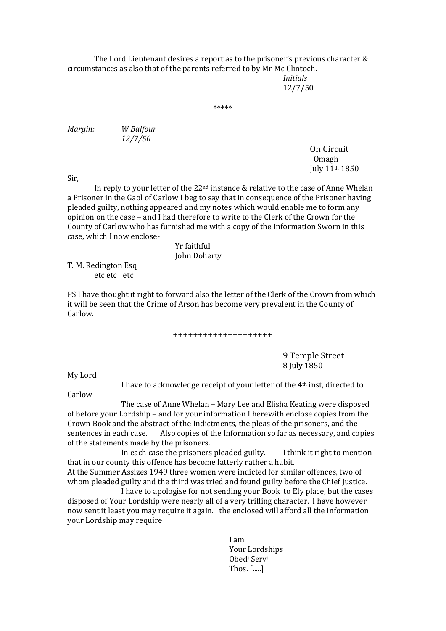The Lord Lieutenant desires a report as to the prisoner's previous character  $&$ circumstances as also that of the parents referred to by Mr Mc Clintoch.

 *Initials* 12/7/50 

\*\*\*\*\* 

*Margin: W Balfour 12/7/50*

 On Circuit Omagh July 11th 1850 

Sir, 

In reply to your letter of the  $22^{\text{nd}}$  instance & relative to the case of Anne Whelan a Prisoner in the Gaol of Carlow I beg to say that in consequence of the Prisoner having pleaded guilty, nothing appeared and my notes which would enable me to form any opinion on the case – and I had therefore to write to the Clerk of the Crown for the County of Carlow who has furnished me with a copy of the Information Sworn in this case, which I now enclose-

> Yr faithful John Doherty

T. M. Redington Esq etc etc etc 

PS I have thought it right to forward also the letter of the Clerk of the Crown from which it will be seen that the Crime of Arson has become very prevalent in the County of Carlow. 

#### ++++++++++++++++++++

 9 Temple Street 8 July 1850

My Lord

I have to acknowledge receipt of your letter of the 4<sup>th</sup> inst, directed to

Carlow‐ 

The case of Anne Whelan - Mary Lee and Elisha Keating were disposed of before your Lordship – and for your information I herewith enclose copies from the Crown Book and the abstract of the Indictments, the pleas of the prisoners, and the sentences in each case. Also copies of the Information so far as necessary, and copies of the statements made by the prisoners.

In each case the prisoners pleaded guilty. I think it right to mention that in our county this offence has become latterly rather a habit.

At the Summer Assizes 1949 three women were indicted for similar offences, two of whom pleaded guilty and the third was tried and found guilty before the Chief Justice.

I have to apologise for not sending your Book to Ely place, but the cases disposed of Your Lordship were nearly all of a very trifling character. I have however now sent it least you may require it again. the enclosed will afford all the information your Lordship may require

**I** am and  $\overline{I}$  am and  $\overline{I}$  am and  $\overline{I}$  am and  $\overline{I}$  am and  $\overline{I}$  am and  $\overline{I}$  am and  $\overline{I}$  am and  $\overline{I}$  am and  $\overline{I}$  am and  $\overline{I}$  am and  $\overline{I}$  am and  $\overline{I}$  am and  $\overline{I}$  am and  $\over$ Your Lordships **Obedt Services** Thos.  $[....]$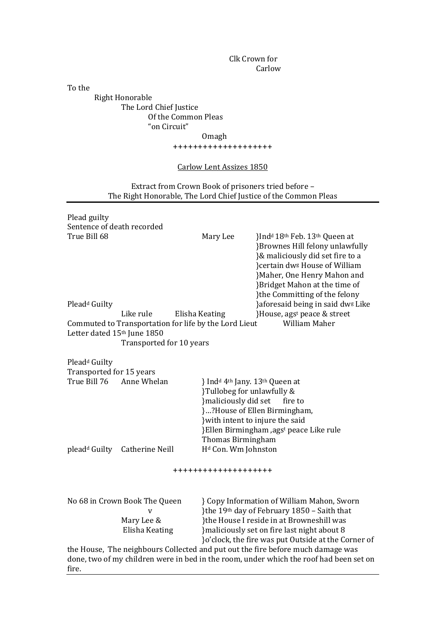Clk Crown for Carlow 

To the

**Right Honorable** The Lord Chief Justice Of the Common Pleas "on Circuit" 

 Omagh 

++++++++++++++++++++ 

# Carlow Lent Assizes 1850

Extract from Crown Book of prisoners tried before -The Right Honorable, The Lord Chief Justice of the Common Pleas

| Plead guilty                |                                           |                                                       |                                                                                        |  |  |
|-----------------------------|-------------------------------------------|-------------------------------------------------------|----------------------------------------------------------------------------------------|--|--|
| Sentence of death recorded  |                                           |                                                       |                                                                                        |  |  |
| True Bill 68                |                                           | Mary Lee                                              | }Ind <sup>d</sup> 18 <sup>th</sup> Feb. 13 <sup>th</sup> Queen at                      |  |  |
|                             |                                           |                                                       | }Brownes Hill felony unlawfully                                                        |  |  |
|                             |                                           |                                                       | }& maliciously did set fire to a                                                       |  |  |
|                             |                                           |                                                       | }certain dw <sup>g</sup> House of William                                              |  |  |
|                             |                                           |                                                       | }Maher, One Henry Mahon and                                                            |  |  |
|                             |                                           |                                                       | }Bridget Mahon at the time of                                                          |  |  |
|                             |                                           |                                                       | }the Committing of the felony                                                          |  |  |
| Plead <sup>d</sup> Guilty   |                                           |                                                       | }aforesaid being in said dw <sup>g</sup> Like                                          |  |  |
|                             | Like rule                                 | Elisha Keating                                        | }House, ags <sup>t</sup> peace & street                                                |  |  |
|                             |                                           | Commuted to Transportation for life by the Lord Lieut | William Maher                                                                          |  |  |
| Letter dated 15th June 1850 |                                           |                                                       |                                                                                        |  |  |
|                             | Transported for 10 years                  |                                                       |                                                                                        |  |  |
| Plead <sup>d</sup> Guilty   |                                           |                                                       |                                                                                        |  |  |
| Transported for 15 years    |                                           |                                                       |                                                                                        |  |  |
| True Bill 76<br>Anne Whelan |                                           |                                                       | } Ind <sup>d</sup> 4 <sup>th</sup> Jany. 13 <sup>th</sup> Queen at                     |  |  |
|                             |                                           |                                                       | }Tullobeg for unlawfully &                                                             |  |  |
|                             |                                           |                                                       | }maliciously did set<br>fire to                                                        |  |  |
|                             |                                           |                                                       | }?House of Ellen Birmingham,                                                           |  |  |
|                             |                                           |                                                       | } with intent to injure the said                                                       |  |  |
|                             |                                           |                                                       | }Ellen Birmingham ,agst peace Like rule                                                |  |  |
|                             |                                           | Thomas Birmingham                                     |                                                                                        |  |  |
|                             | plead <sup>d</sup> Guilty Catherine Neill | H <sup>d</sup> Con. Wm Johnston                       |                                                                                        |  |  |
|                             |                                           |                                                       |                                                                                        |  |  |
|                             |                                           | ++++++++++++++++++++                                  |                                                                                        |  |  |
|                             | No 68 in Crown Book The Queen             |                                                       | Copy Information of William Mahon, Sworn                                               |  |  |
|                             | V                                         |                                                       | }the 19th day of February 1850 - Saith that                                            |  |  |
|                             | Mary Lee &                                |                                                       | }the House I reside in at Browneshill was                                              |  |  |
| Elisha Keating              |                                           |                                                       | } maliciously set on fire last night about 8                                           |  |  |
|                             |                                           |                                                       | }o'clock, the fire was put Outside at the Corner of                                    |  |  |
|                             |                                           |                                                       | the House, The neighbours Collected and put out the fire before much damage was        |  |  |
|                             |                                           |                                                       | done, two of my children were in bed in the room, under which the roof had been set on |  |  |

fire.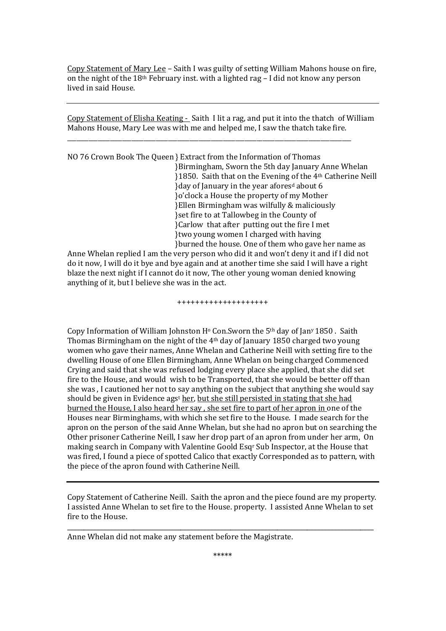Copy Statement of Mary Lee – Saith I was guilty of setting William Mahons house on fire, on the night of the  $18<sup>th</sup>$  February inst. with a lighted rag – I did not know any person lived in said House.

Copy Statement of Elisha Keating - Saith I lit a rag, and put it into the thatch of William Mahons House, Mary Lee was with me and helped me, I saw the thatch take fire.

\_\_\_\_\_\_\_\_\_\_\_\_\_\_\_\_\_\_\_\_\_\_\_\_\_\_\_\_\_\_\_\_\_\_\_\_\_\_\_\_\_\_\_\_\_\_\_\_\_\_\_\_\_\_\_\_\_\_\_\_\_\_\_\_\_\_\_\_\_\_\_\_\_\_\_\_\_\_\_\_\_\_\_\_\_\_\_\_\_\_\_\_\_ 

NO 76 Crown Book The Queen } Extract from the Information of Thomas }Birmingham, Sworn the 5th day January Anne Whelan }1850. Saith that on the Evening of the 4th Catherine Neill }day of January in the year aforesd about 6 }o'clock a House the property of my Mother }Ellen Birmingham was wilfully & maliciously } set fire to at Tallowbeg in the County of }Carlow that after putting out the fire I met }two young women I charged with having }burned the house. One of them who gave her name as 

Anne Whelan replied I am the very person who did it and won't deny it and if I did not do it now, I will do it bye and bye again and at another time she said I will have a right blaze the next night if I cannot do it now, The other young woman denied knowing anything of it, but I believe she was in the act.

++++++++++++++++++++ 

Copy Information of William Johnston H<sup>o</sup> Con.Sworn the 5<sup>th</sup> day of Jan<sup>y</sup> 1850. Saith Thomas Birmingham on the night of the 4<sup>th</sup> day of January 1850 charged two young women who gave their names, Anne Whelan and Catherine Neill with setting fire to the dwelling House of one Ellen Birmingham, Anne Whelan on being charged Commenced Crying and said that she was refused lodging every place she applied, that she did set fire to the House, and would wish to be Transported, that she would be better off than she was, I cautioned her not to say anything on the subject that anything she would say should be given in Evidence ags<sup>t</sup> her, but she still persisted in stating that she had burned the House. I also heard her say, she set fire to part of her apron in one of the Houses near Birminghams, with which she set fire to the House. I made search for the apron on the person of the said Anne Whelan, but she had no apron but on searching the Other prisoner Catherine Neill, I saw her drop part of an apron from under her arm, On making search in Company with Valentine Goold Esq<sup>r</sup> Sub Inspector, at the House that was fired. I found a piece of spotted Calico that exactly Corresponded as to pattern, with the piece of the apron found with Catherine Neill.

Copy Statement of Catherine Neill. Saith the apron and the piece found are my property. I assisted Anne Whelan to set fire to the House. property. I assisted Anne Whelan to set fire to the House.

\_\_\_\_\_\_\_\_\_\_\_\_\_\_\_\_\_\_\_\_\_\_\_\_\_\_\_\_\_\_\_\_\_\_\_\_\_\_\_\_\_\_\_\_\_\_\_\_\_\_\_\_\_\_\_\_\_\_\_\_\_\_\_\_\_\_\_\_\_\_\_\_\_\_\_\_\_\_\_\_\_\_\_\_\_\_\_\_\_\_\_\_ 

Anne Whelan did not make any statement before the Magistrate.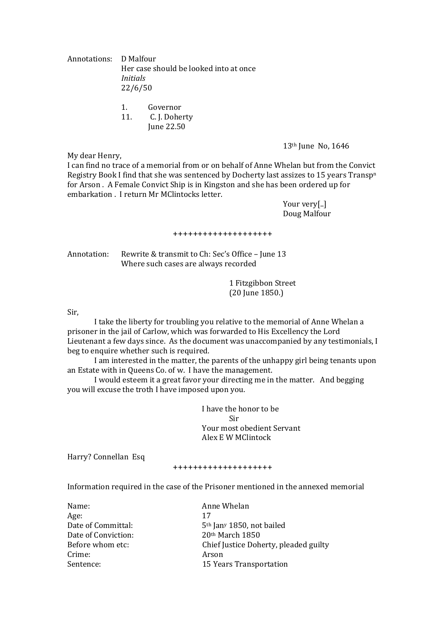Annotations: D Malfour Her case should be looked into at once *Initials*  22/6/50 

- 1. Governor
- 11. C. J. Doherty
	- June 22.50

13<sup>th</sup> June No, 1646

I can find no trace of a memorial from or on behalf of Anne Whelan but from the Convict Registry Book I find that she was sentenced by Docherty last assizes to 15 years  $Transp<sup>n</sup>$ for Arson. A Female Convict Ship is in Kingston and she has been ordered up for embarkation . I return Mr MClintocks letter.

> Your very[..] Doug Malfour

#### ++++++++++++++++++++

Annotation: Rewrite & transmit to Ch: Sec's Office – June 13 Where such cases are always recorded

> 1 Fitzgibbon Street (20 June 1850.)

Sir, 

My dear Henry,

I take the liberty for troubling you relative to the memorial of Anne Whelan a prisoner in the jail of Carlow, which was forwarded to His Excellency the Lord Lieutenant a few days since. As the document was unaccompanied by any testimonials, I beg to enquire whether such is required.

I am interested in the matter, the parents of the unhappy girl being tenants upon an Estate with in Queens Co. of w. I have the management.

I would esteem it a great favor your directing me in the matter. And begging you will excuse the troth I have imposed upon you.

I have the honor to be **Sir** Your most obedient Servant Alex E W MClintock 

Harry? Connellan Esq

#### ++++++++++++++++++++

Information required in the case of the Prisoner mentioned in the annexed memorial

| Anne Whelan                           |
|---------------------------------------|
| 17                                    |
| 5 <sup>th</sup> Jany 1850, not bailed |
| 20th March 1850                       |
| Chief Justice Doherty, pleaded guilty |
| Arson                                 |
| 15 Years Transportation               |
|                                       |